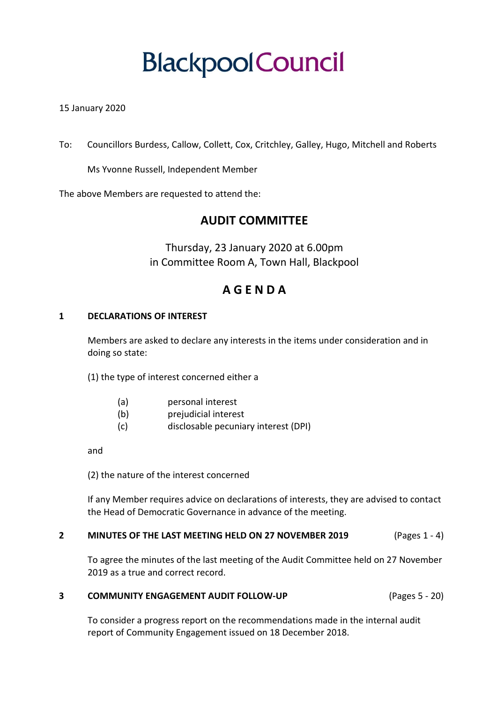# **BlackpoolCouncil**

#### 15 January 2020

To: Councillors Burdess, Callow, Collett, Cox, Critchley, Galley, Hugo, Mitchell and Roberts

Ms Yvonne Russell, Independent Member

The above Members are requested to attend the:

### **AUDIT COMMITTEE**

Thursday, 23 January 2020 at 6.00pm in Committee Room A, Town Hall, Blackpool

## **A G E N D A**

#### **1 DECLARATIONS OF INTEREST**

Members are asked to declare any interests in the items under consideration and in doing so state:

(1) the type of interest concerned either a

- (a) personal interest
- (b) prejudicial interest
- (c) disclosable pecuniary interest (DPI)

and

(2) the nature of the interest concerned

If any Member requires advice on declarations of interests, they are advised to contact the Head of Democratic Governance in advance of the meeting.

#### **2 MINUTES OF THE LAST MEETING HELD ON 27 NOVEMBER 2019** (Pages 1 - 4)

To agree the minutes of the last meeting of the Audit Committee held on 27 November 2019 as a true and correct record.

#### **3 COMMUNITY ENGAGEMENT AUDIT FOLLOW-UP** (Pages 5 - 20)

To consider a progress report on the recommendations made in the internal audit report of Community Engagement issued on 18 December 2018.